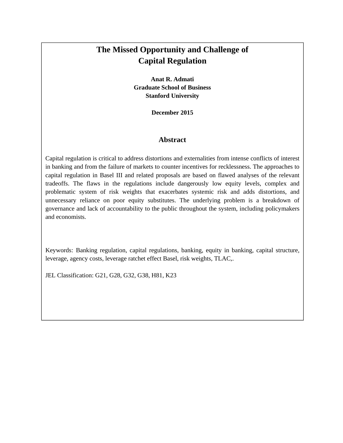# **The Missed Opportunity and Challenge of Capital Regulation**

**Anat R. Admati Graduate School of Business Stanford University** 

**December 2015** 

# **Abstract**

Capital regulation is critical to address distortions and externalities from intense conflicts of interest in banking and from the failure of markets to counter incentives for recklessness. The approaches to capital regulation in Basel III and related proposals are based on flawed analyses of the relevant tradeoffs. The flaws in the regulations include dangerously low equity levels, complex and problematic system of risk weights that exacerbates systemic risk and adds distortions, and unnecessary reliance on poor equity substitutes. The underlying problem is a breakdown of governance and lack of accountability to the public throughout the system, including policymakers and economists.

Keywords: Banking regulation, capital regulations, banking, equity in banking, capital structure, leverage, agency costs, leverage ratchet effect Basel, risk weights, TLAC,.

JEL Classification: G21, G28, G32, G38, H81, K23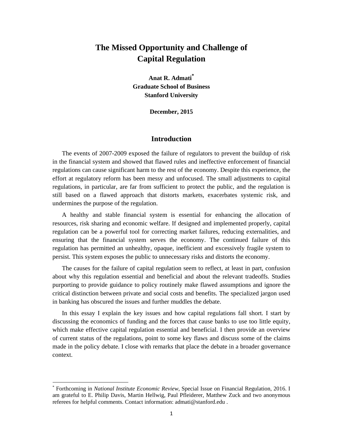# **The Missed Opportunity and Challenge of Capital Regulation**

**Anat R. Admati\* Graduate School of Business Stanford University** 

**December, 2015** 

### **Introduction**

The events of 2007-2009 exposed the failure of regulators to prevent the buildup of risk in the financial system and showed that flawed rules and ineffective enforcement of financial regulations can cause significant harm to the rest of the economy. Despite this experience, the effort at regulatory reform has been messy and unfocused. The small adjustments to capital regulations, in particular, are far from sufficient to protect the public, and the regulation is still based on a flawed approach that distorts markets, exacerbates systemic risk, and undermines the purpose of the regulation.

A healthy and stable financial system is essential for enhancing the allocation of resources, risk sharing and economic welfare. If designed and implemented properly, capital regulation can be a powerful tool for correcting market failures, reducing externalities, and ensuring that the financial system serves the economy. The continued failure of this regulation has permitted an unhealthy, opaque, inefficient and excessively fragile system to persist. This system exposes the public to unnecessary risks and distorts the economy.

The causes for the failure of capital regulation seem to reflect, at least in part, confusion about why this regulation essential and beneficial and about the relevant tradeoffs. Studies purporting to provide guidance to policy routinely make flawed assumptions and ignore the critical distinction between private and social costs and benefits. The specialized jargon used in banking has obscured the issues and further muddles the debate.

In this essay I explain the key issues and how capital regulations fall short. I start by discussing the economics of funding and the forces that cause banks to use too little equity, which make effective capital regulation essential and beneficial. I then provide an overview of current status of the regulations, point to some key flaws and discuss some of the claims made in the policy debate. I close with remarks that place the debate in a broader governance context.

<sup>\*</sup> Forthcoming in *National Institute Economic Review*, Special Issue on Financial Regulation, 2016. I am grateful to E. Philip Davis, Martin Hellwig, Paul Pfleiderer, Matthew Zuck and two anonymous referees for helpful comments. Contact information: admati@stanford.edu .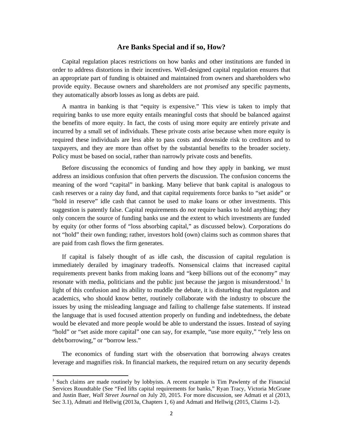#### **Are Banks Special and if so, How?**

Capital regulation places restrictions on how banks and other institutions are funded in order to address distortions in their incentives. Well-designed capital regulation ensures that an appropriate part of funding is obtained and maintained from owners and shareholders who provide equity. Because owners and shareholders are not *promised* any specific payments, they automatically absorb losses as long as debts are paid.

A mantra in banking is that "equity is expensive." This view is taken to imply that requiring banks to use more equity entails meaningful costs that should be balanced against the benefits of more equity. In fact, the costs of using more equity are entirely private and incurred by a small set of individuals. These private costs arise because when more equity is required these individuals are less able to pass costs and downside risk to creditors and to taxpayers, and they are more than offset by the substantial benefits to the broader society. Policy must be based on social, rather than narrowly private costs and benefits.

Before discussing the economics of funding and how they apply in banking, we must address an insidious confusion that often perverts the discussion. The confusion concerns the meaning of the word "capital" in banking. Many believe that bank capital is analogous to cash reserves or a rainy day fund, and that capital requirements force banks to "set aside" or "hold in reserve" idle cash that cannot be used to make loans or other investments. This suggestion is patently false. Capital requirements do *not* require banks to hold anything; they only concern the source of funding banks use and the extent to which investments are funded by equity (or other forms of "loss absorbing capital," as discussed below). Corporations do not "hold" their own funding; rather, investors hold (own) claims such as common shares that are paid from cash flows the firm generates.

If capital is falsely thought of as idle cash, the discussion of capital regulation is immediately derailed by imaginary tradeoffs. Nonsensical claims that increased capital requirements prevent banks from making loans and "keep billions out of the economy" may resonate with media, politicians and the public just because the jargon is misunderstood.<sup>1</sup> In light of this confusion and its ability to muddle the debate, it is disturbing that regulators and academics, who should know better, routinely collaborate with the industry to obscure the issues by using the misleading language and failing to challenge false statements. If instead the language that is used focused attention properly on funding and indebtedness, the debate would be elevated and more people would be able to understand the issues. Instead of saying "hold" or "set aside more capital" one can say, for example, "use more equity," "rely less on debt/borrowing," or "borrow less."

The economics of funding start with the observation that borrowing always creates leverage and magnifies risk. In financial markets, the required return on any security depends

<sup>&</sup>lt;sup>1</sup> Such claims are made routinely by lobbyists. A recent example is Tim Pawlenty of the Financial Services Roundtable (See "Fed lifts capital requirements for banks," Ryan Tracy, Victoria McGrane and Justin Baer, *Wall Street Journal* on July 20, 2015. For more discussion, see Admati et al (2013, Sec 3.1), Admati and Hellwig (2013a, Chapters 1, 6) and Admati and Hellwig (2015, Claims 1-2).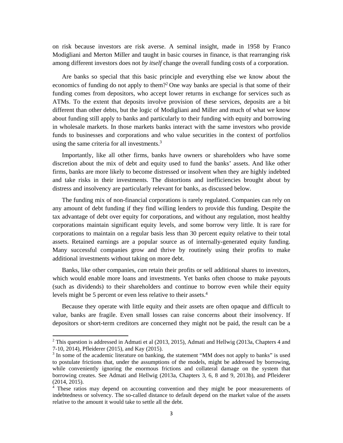on risk because investors are risk averse. A seminal insight, made in 1958 by Franco Modigliani and Merton Miller and taught in basic courses in finance, is that rearranging risk among different investors does not *by itself* change the overall funding costs of a corporation.

Are banks so special that this basic principle and everything else we know about the economics of funding do not apply to them?2 One way banks are special is that some of their funding comes from depositors, who accept lower returns in exchange for services such as ATMs. To the extent that deposits involve provision of these services, deposits are a bit different than other debts, but the logic of Modigliani and Miller and much of what we know about funding still apply to banks and particularly to their funding with equity and borrowing in wholesale markets. In those markets banks interact with the same investors who provide funds to businesses and corporations and who value securities in the context of portfolios using the same criteria for all investments.<sup>3</sup>

Importantly, like all other firms, banks have owners or shareholders who have some discretion about the mix of debt and equity used to fund the banks' assets. And like other firms, banks are more likely to become distressed or insolvent when they are highly indebted and take risks in their investments. The distortions and inefficiencies brought about by distress and insolvency are particularly relevant for banks, as discussed below.

The funding mix of non-financial corporations is rarely regulated. Companies can rely on any amount of debt funding if they find willing lenders to provide this funding. Despite the tax advantage of debt over equity for corporations, and without any regulation, most healthy corporations maintain significant equity levels, and some borrow very little. It is rare for corporations to maintain on a regular basis less than 30 percent equity relative to their total assets. Retained earnings are a popular source as of internally-generated equity funding. Many successful companies grow and thrive by routinely using their profits to make additional investments without taking on more debt.

Banks*,* like other companies, *can* retain their profits or sell additional shares to investors, which would enable more loans and investments. Yet banks often choose to make payouts (such as dividends) to their shareholders and continue to borrow even while their equity levels might be 5 percent or even less relative to their assets.4

Because they operate with little equity and their assets are often opaque and difficult to value, banks are fragile. Even small losses can raise concerns about their insolvency. If depositors or short-term creditors are concerned they might not be paid, the result can be a

<sup>&</sup>lt;sup>2</sup> This question is addressed in Admati et al (2013, 2015), Admati and Hellwig (2013a, Chapters 4 and 7-10, 2014), Pfleiderer (2015), and Kay (2015).

<sup>&</sup>lt;sup>3</sup> In some of the academic literature on banking, the statement "MM does not apply to banks" is used to postulate frictions that, under the assumptions of the models, might be addressed by borrowing, while conveniently ignoring the enormous frictions and collateral damage on the system that borrowing creates. See Admati and Hellwig (2013a, Chapters 3, 6, 8 and 9, 2013b), and Pfleiderer (2014, 2015).

<sup>&</sup>lt;sup>4</sup> These ratios may depend on accounting convention and they might be poor measurements of indebtedness or solvency. The so-called distance to default depend on the market value of the assets relative to the amount it would take to settle all the debt.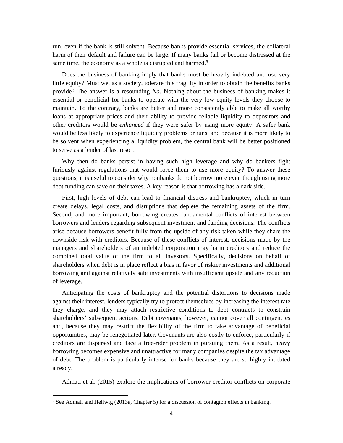run, even if the bank is still solvent. Because banks provide essential services, the collateral harm of their default and failure can be large. If many banks fail or become distressed at the same time, the economy as a whole is disrupted and harmed.<sup>5</sup>

Does the business of banking imply that banks must be heavily indebted and use very little equity? Must we, as a society, tolerate this fragility in order to obtain the benefits banks provide? The answer is a resounding *No.* Nothing about the business of banking makes it essential or beneficial for banks to operate with the very low equity levels they choose to maintain. To the contrary, banks are better and more consistently able to make all worthy loans at appropriate prices and their ability to provide reliable liquidity to depositors and other creditors would be *enhanced* if they were safer by using more equity. A safer bank would be less likely to experience liquidity problems or runs, and because it is more likely to be solvent when experiencing a liquidity problem, the central bank will be better positioned to serve as a lender of last resort.

Why then do banks persist in having such high leverage and why do bankers fight furiously against regulations that would force them to use more equity? To answer these questions, it is useful to consider why nonbanks do not borrow more even though using more debt funding can save on their taxes. A key reason is that borrowing has a dark side.

First, high levels of debt can lead to financial distress and bankruptcy, which in turn create delays, legal costs, and disruptions that deplete the remaining assets of the firm. Second, and more important, borrowing creates fundamental conflicts of interest between borrowers and lenders regarding subsequent investment and funding decisions. The conflicts arise because borrowers benefit fully from the upside of any risk taken while they share the downside risk with creditors. Because of these conflicts of interest, decisions made by the managers and shareholders of an indebted corporation may harm creditors and reduce the combined total value of the firm to all investors. Specifically, decisions on behalf of shareholders when debt is in place reflect a bias in favor of riskier investments and additional borrowing and against relatively safe investments with insufficient upside and any reduction of leverage.

Anticipating the costs of bankruptcy and the potential distortions to decisions made against their interest, lenders typically try to protect themselves by increasing the interest rate they charge, and they may attach restrictive conditions to debt contracts to constrain shareholders' subsequent actions. Debt covenants, however, cannot cover all contingencies and, because they may restrict the flexibility of the firm to take advantage of beneficial opportunities, may be renegotiated later. Covenants are also costly to enforce, particularly if creditors are dispersed and face a free-rider problem in pursuing them. As a result, heavy borrowing becomes expensive and unattractive for many companies despite the tax advantage of debt. The problem is particularly intense for banks because they are so highly indebted already.

Admati et al. (2015) explore the implications of borrower-creditor conflicts on corporate

<sup>&</sup>lt;sup>5</sup> See Admati and Hellwig (2013a, Chapter 5) for a discussion of contagion effects in banking.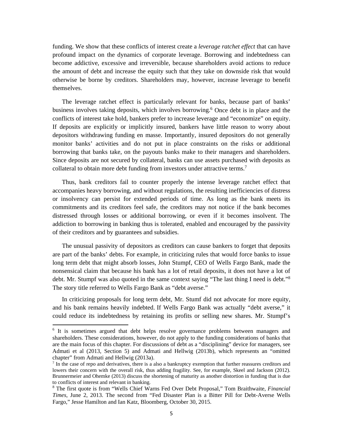funding. We show that these conflicts of interest create a *leverage ratchet effect* that can have profound impact on the dynamics of corporate leverage. Borrowing and indebtedness can become addictive, excessive and irreversible, because shareholders avoid actions to reduce the amount of debt and increase the equity such that they take on downside risk that would otherwise be borne by creditors. Shareholders may, however, increase leverage to benefit themselves.

The leverage ratchet effect is particularly relevant for banks, because part of banks' business involves taking deposits, which involves borrowing.<sup>6</sup> Once debt is in place and the conflicts of interest take hold, bankers prefer to increase leverage and "economize" on equity. If deposits are explicitly or implicitly insured, bankers have little reason to worry about depositors withdrawing funding en masse. Importantly, insured depositors do not generally monitor banks' activities and do not put in place constraints on the risks or additional borrowing that banks take, on the payouts banks make to their managers and shareholders. Since deposits are not secured by collateral, banks can use assets purchased with deposits as collateral to obtain more debt funding from investors under attractive terms.<sup>7</sup>

Thus, bank creditors fail to counter properly the intense leverage ratchet effect that accompanies heavy borrowing, and without regulations, the resulting inefficiencies of distress or insolvency can persist for extended periods of time. As long as the bank meets its commitments and its creditors feel safe, the creditors may not notice if the bank becomes distressed through losses or additional borrowing, or even if it becomes insolvent. The addiction to borrowing in banking thus is tolerated, enabled and encouraged by the passivity of their creditors and by guarantees and subsidies.

The unusual passivity of depositors as creditors can cause bankers to forget that deposits are part of the banks' debts. For example, in criticizing rules that would force banks to issue long term debt that might absorb losses, John Stumpf, CEO of Wells Fargo Bank, made the nonsensical claim that because his bank has a lot of retail deposits, it does not have a lot of debt. Mr. Stumpf was also quoted in the same context saying "The last thing I need is debt."<sup>8</sup> The story title referred to Wells Fargo Bank as "debt averse."

In criticizing proposals for long term debt, Mr. Stumf did not advocate for more equity, and his bank remains heavily indebted. If Wells Fargo Bank was actually "debt averse," it could reduce its indebtedness by retaining its profits or selling new shares. Mr. Stumpf's

<sup>&</sup>lt;sup>6</sup> It is sometimes argued that debt helps resolve governance problems between managers and shareholders. These considerations, however, do not apply to the funding considerations of banks that are the main focus of this chapter. For discussions of debt as a "disciplining" device for managers, see Admati et al (2013, Section 5) and Admati and Hellwig (2013b), which represents an "omitted chapter" from Admati and Hellwig (2013a).

<sup>&</sup>lt;sup>7</sup> In the case of repo and derivatives, there is a also a bankruptcy exemption that further reassures creditors and lowers their concern with the overall risk, thus adding fragility. See, for example, Skeel and Jackson (2012). Brunnermeier and Ohemke (2013) discuss the shortening of maturity as another distortion in funding that is due to conflicts of interest and relevant in banking.

<sup>8</sup> The first quote is from "Wells Chief Warns Fed Over Debt Proposal," Tom Braithwaite, *Financial Times*, June 2, 2013. The second from "Fed Disaster Plan is a Bitter Pill for Debt-Averse Wells Fargo," Jesse Hamilton and Ian Katz, Bloomberg, October 30, 2015.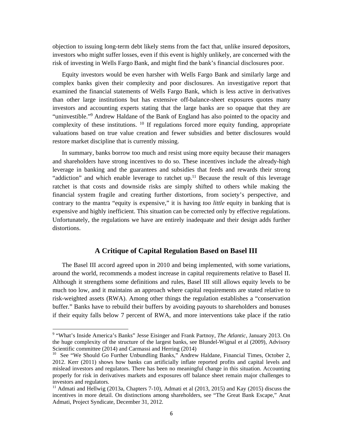objection to issuing long-term debt likely stems from the fact that, unlike insured depositors, investors who might suffer losses, even if this event is highly unlikely, are concerned with the risk of investing in Wells Fargo Bank, and might find the bank's financial disclosures poor.

Equity investors would be even harsher with Wells Fargo Bank and similarly large and complex banks given their complexity and poor disclosures. An investigative report that examined the financial statements of Wells Fargo Bank, which is less active in derivatives than other large institutions but has extensive off-balance-sheet exposures quotes many investors and accounting experts stating that the large banks are so opaque that they are "uninvestible."9 Andrew Haldane of the Bank of England has also pointed to the opacity and complexity of these institutions. <sup>10</sup> If regulations forced more equity funding, appropriate valuations based on true value creation and fewer subsidies and better disclosures would restore market discipline that is currently missing.

In summary, banks borrow too much and resist using more equity because their managers and shareholders have strong incentives to do so. These incentives include the already-high leverage in banking and the guarantees and subsidies that feeds and rewards their strong "addiction" and which enable leverage to ratchet up.<sup>11</sup> Because the result of this leverage ratchet is that costs and downside risks are simply shifted to others while making the financial system fragile and creating further distortions, from society's perspective, and contrary to the mantra "equity is expensive," it is having *too little* equity in banking that is expensive and highly inefficient. This situation can be corrected only by effective regulations. Unfortunately, the regulations we have are entirely inadequate and their design adds further distortions.

#### **A Critique of Capital Regulation Based on Basel III**

The Basel III accord agreed upon in 2010 and being implemented, with some variations, around the world, recommends a modest increase in capital requirements relative to Basel II. Although it strengthens some definitions and rules, Basel III still allows equity levels to be much too low, and it maintains an approach where capital requirements are stated relative to risk-weighted assets (RWA). Among other things the regulation establishes a "conservation buffer." Banks have to rebuild their buffers by avoiding payouts to shareholders and bonuses if their equity falls below 7 percent of RWA, and more interventions take place if the ratio

<sup>&</sup>lt;sup>9</sup> "What's Inside America's Banks" Jesse Eisinger and Frank Partnoy, *The Atlantic*, January 2013. On the huge complexity of the structure of the largest banks, see Blundel-Wignal et al (2009), Advisory Scientific committee (2014) and Carmassi and Herring (2014)

<sup>&</sup>lt;sup>10</sup> See "We Should Go Further Unbundling Banks," Andrew Haldane, Financial Times, October 2, 2012. Kerr (2011) shows how banks can artificially inflate reported profits and capital levels and mislead investors and regulators. There has been no meaningful change in this situation. Accounting properly for risk in derivatives markets and exposures off balance sheet remain major challenges to investors and regulators.

<sup>&</sup>lt;sup>11</sup> Admati and Hellwig (2013a, Chapters 7-10), Admati et al (2013, 2015) and Kay (2015) discuss the incentives in more detail. On distinctions among shareholders, see "The Great Bank Escape," Anat Admati, Project Syndicate, December 31, 2012.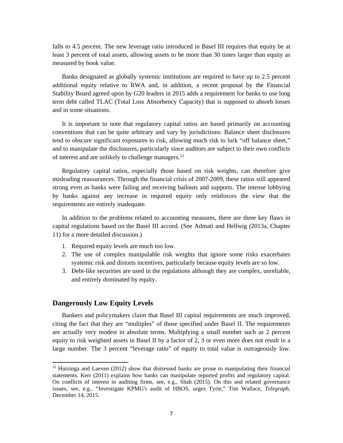falls to 4.5 percent. The new leverage ratio introduced in Basel III requires that equity be at least 3 percent of total assets, allowing assets to be more than 30 times larger than equity as measured by book value.

Banks designated as globally systemic institutions are required to have up to 2.5 percent additional equity relative to RWA and, in addition, a recent proposal by the Financial Stability Board agreed upon by G20 leaders in 2015 adds a requirement for banks to use long term debt called TLAC (Total Loss Absorbency Capacity) that is supposed to absorb losses and in some situations.

It is important to note that regulatory capital ratios are based primarily on accounting conventions that can be quite arbitrary and vary by jurisdictions. Balance sheet disclosures tend to obscure significant exposures to risk, allowing much risk to lurk "off balance sheet," and to manipulate the disclosures, particularly since auditors are subject to their own conflicts of interest and are unlikely to challenge managers.12

Regulatory capital ratios, especially those based on risk weights, can therefore give misleading reassurances. Through the financial crisis of 2007-2009, these ratios still appeared strong even as banks were failing and receiving bailouts and supports. The intense lobbying by banks against any increase in required equity only reinforces the view that the requirements are entirely inadequate.

In addition to the problems related to accounting measures, there are three key flaws in capital regulations based on the Basel III accord. (See Admati and Hellwig (2013a, Chapter 11) for a more detailed discussion.)

- 1. Required equity levels are much too low.
- 2. The use of complex manipulable risk weights that ignore some risks exacerbates systemic risk and distorts incentives, particularly because equity levels are so low.
- 3. Debt-like securities are used in the regulations although they are complex, unreliable, and entirely dominated by equity.

#### **Dangerously Low Equity Levels**

Bankers and policymakers claim that Basel III capital requirements are much improved, citing the fact that they are "multiples" of those specified under Basel II. The requirements are actually very modest in absolute terms. Multiplying a small number such as 2 percent equity to risk weighted assets in Basel II by a factor of 2, 3 or even more does not result in a large number. The 3 percent "leverage ratio" of equity to total value is outrageously low.

 $12$  Huizinga and Laeven (2012) show that distressed banks are prone to manipulating their financial statements. Kerr (2011) explains how banks can manipulate reported profits and regulatory capital. On conflicts of interest in auditing firms, see, e.g., Shah (2015). On this and related governance issues, see, e.g., "Investigate KPMG's audit of HBOS, urges Tyrie," Tim Wallace, *Telegraph*, December 14, 2015.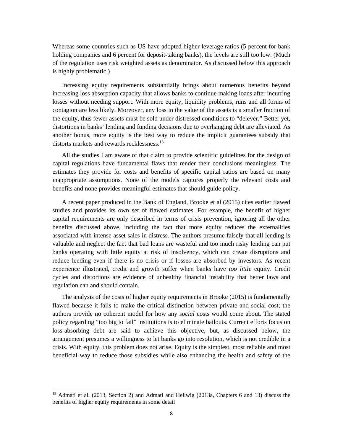Whereas some countries such as US have adopted higher leverage ratios (5 percent for bank holding companies and 6 percent for deposit-taking banks), the levels are still too low. (Much of the regulation uses risk weighted assets as denominator. As discussed below this approach is highly problematic.)

Increasing equity requirements substantially brings about numerous benefits beyond increasing loss absorption capacity that allows banks to continue making loans after incurring losses without needing support. With more equity, liquidity problems, runs and all forms of contagion are less likely. Moreover, any loss in the value of the assets is a smaller fraction of the equity, thus fewer assets must be sold under distressed conditions to "delever." Better yet, distortions in banks' lending and funding decisions due to overhanging debt are alleviated. As another bonus, more equity is the best way to reduce the implicit guarantees subsidy that distorts markets and rewards recklessness.<sup>13</sup>

All the studies I am aware of that claim to provide scientific guidelines for the design of capital regulations have fundamental flaws that render their conclusions meaningless. The estimates they provide for costs and benefits of specific capital ratios are based on many inappropriate assumptions. None of the models captures properly the relevant costs and benefits and none provides meaningful estimates that should guide policy.

A recent paper produced in the Bank of England, Brooke et al (2015) cites earlier flawed studies and provides its own set of flawed estimates. For example, the benefit of higher capital requirements are only described in terms of crisis prevention, ignoring all the other benefits discussed above, including the fact that more equity reduces the externalities associated with intense asset sales in distress. The authors presume falsely that all lending is valuable and neglect the fact that bad loans are wasteful and too much risky lending can put banks operating with little equity at risk of insolvency, which can create disruptions and reduce lending even if there is no crisis or if losses are absorbed by investors. As recent experience illustrated, credit and growth suffer when banks have *too little* equity. Credit cycles and distortions are evidence of unhealthy financial instability that better laws and regulation can and should contain.

The analysis of the costs of higher equity requirements in Brooke (2015) is fundamentally flawed because it fails to make the critical distinction between private and social cost; the authors provide no coherent model for how any *social* costs would come about. The stated policy regarding "too big to fail" institutions is to eliminate bailouts. Current efforts focus on loss-absorbing debt are said to achieve this objective, but, as discussed below, the arrangement presumes a willingness to let banks go into resolution, which is not credible in a crisis. With equity, this problem does not arise. Equity is the simplest, most reliable and most beneficial way to reduce those subsidies while also enhancing the health and safety of the

<sup>&</sup>lt;sup>13</sup> Admati et al. (2013, Section 2) and Admati and Hellwig (2013a, Chapters 6 and 13) discuss the benefits of higher equity requirements in some detail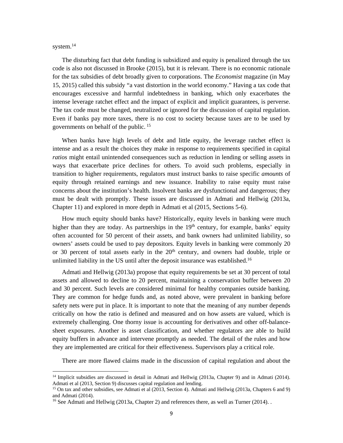system.<sup>14</sup>

The disturbing fact that debt funding is subsidized and equity is penalized through the tax code is also not discussed in Brooke (2015), but it is relevant. There is no economic rationale for the tax subsidies of debt broadly given to corporations. The *Economist* magazine (in May 15, 2015) called this subsidy "a vast distortion in the world economy." Having a tax code that encourages excessive and harmful indebtedness in banking, which only exacerbates the intense leverage ratchet effect and the impact of explicit and implicit guarantees, is perverse. The tax code must be changed, neutralized or ignored for the discussion of capital regulation. Even if banks pay more taxes, there is no cost to society because taxes are to be used by governments on behalf of the public. 15

When banks have high levels of debt and little equity, the leverage ratchet effect is intense and as a result the choices they make in response to requirements specified in capital *ratios* might entail unintended consequences such as reduction in lending or selling assets in ways that exacerbate price declines for others. To avoid such problems, especially in transition to higher requirements, regulators must instruct banks to raise specific *amounts* of equity through retained earnings and new issuance. Inability to raise equity must raise concerns about the institution's health. Insolvent banks are dysfunctional and dangerous; they must be dealt with promptly. These issues are discussed in Admati and Hellwig (2013a, Chapter 11) and explored in more depth in Admati et al (2015, Sections 5-6).

How much equity should banks have? Historically, equity levels in banking were much higher than they are today. As partnerships in the  $19<sup>th</sup>$  century, for example, banks' equity often accounted for 50 percent of their assets, and bank owners had unlimited liability, so owners' assets could be used to pay depositors. Equity levels in banking were commonly 20 or 30 percent of total assets early in the  $20<sup>th</sup>$  century, and owners had double, triple or unlimited liability in the US until after the deposit insurance was established.<sup>16</sup>

Admati and Hellwig (2013a) propose that equity requirements be set at 30 percent of total assets and allowed to decline to 20 percent, maintaining a conservation buffer between 20 and 30 percent. Such levels are considered minimal for healthy companies outside banking. They are common for hedge funds and, as noted above, were prevalent in banking before safety nets were put in place. It is important to note that the meaning of any number depends critically on how the ratio is defined and measured and on how assets are valued, which is extremely challenging. One thorny issue is accounting for derivatives and other off-balancesheet exposures. Another is asset classification, and whether regulators are able to build equity buffers in advance and intervene promptly as needed. The detail of the rules and how they are implemented are critical for their effectiveness. Supervisors play a critical role.

There are more flawed claims made in the discussion of capital regulation and about the

<sup>&</sup>lt;sup>14</sup> Implicit subsidies are discussed in detail in Admati and Hellwig (2013a, Chapter 9) and in Admati (2014). Admati et al (2013, Section 9) discusses capital regulation and lending.

<sup>&</sup>lt;sup>15</sup> On tax and other subsidies, see Admati et al (2013, Section 4). Admati and Hellwig (2013a, Chapters 6 and 9) and Admati (2014).

<sup>&</sup>lt;sup>16</sup> See Admati and Hellwig (2013a, Chapter 2) and references there, as well as Turner (2014).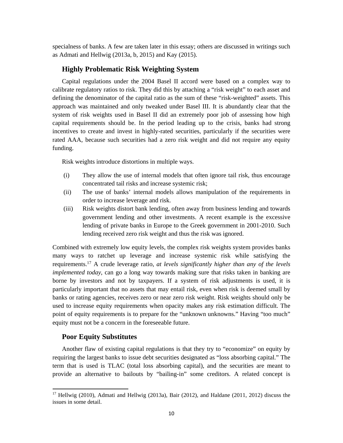specialness of banks. A few are taken later in this essay; others are discussed in writings such as Admati and Hellwig (2013a, b, 2015) and Kay (2015).

## **Highly Problematic Risk Weighting System**

Capital regulations under the 2004 Basel II accord were based on a complex way to calibrate regulatory ratios to risk. They did this by attaching a "risk weight" to each asset and defining the denominator of the capital ratio as the sum of these "risk-weighted" assets. This approach was maintained and only tweaked under Basel III. It is abundantly clear that the system of risk weights used in Basel II did an extremely poor job of assessing how high capital requirements should be. In the period leading up to the crisis, banks had strong incentives to create and invest in highly-rated securities, particularly if the securities were rated AAA, because such securities had a zero risk weight and did not require any equity funding.

Risk weights introduce distortions in multiple ways.

- (i) They allow the use of internal models that often ignore tail risk, thus encourage concentrated tail risks and increase systemic risk;
- (ii) The use of banks' internal models allows manipulation of the requirements in order to increase leverage and risk.
- (iii) Risk weights distort bank lending, often away from business lending and towards government lending and other investments. A recent example is the excessive lending of private banks in Europe to the Greek government in 2001-2010. Such lending received zero risk weight and thus the risk was ignored.

Combined with extremely low equity levels, the complex risk weights system provides banks many ways to ratchet up leverage and increase systemic risk while satisfying the requirements.17 A crude leverage ratio, *at levels significantly higher than any of the levels implemented today*, can go a long way towards making sure that risks taken in banking are borne by investors and not by taxpayers. If a system of risk adjustments is used, it is particularly important that no assets that may entail risk, even when risk is deemed small by banks or rating agencies, receives zero or near zero risk weight. Risk weights should only be used to increase equity requirements when opacity makes any risk estimation difficult. The point of equity requirements is to prepare for the "unknown unknowns." Having "too much" equity must not be a concern in the foreseeable future.

## **Poor Equity Substitutes**

Another flaw of existing capital regulations is that they try to "economize" on equity by requiring the largest banks to issue debt securities designated as "loss absorbing capital." The term that is used is TLAC (total loss absorbing capital), and the securities are meant to provide an alternative to bailouts by "bailing-in" some creditors. A related concept is

 $17$  Hellwig (2010), Admati and Hellwig (2013a), Bair (2012), and Haldane (2011, 2012) discuss the issues in some detail.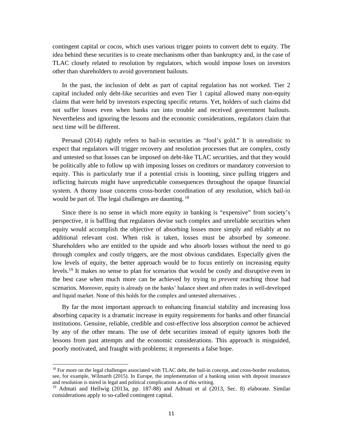contingent capital or cocos, which uses various trigger points to convert debt to equity. The idea behind these securities is to create mechanisms other than bankruptcy and, in the case of TLAC closely related to resolution by regulators, which would impose loses on investors other than shareholders to avoid government bailouts.

In the past, the inclusion of debt as part of capital regulation has not worked. Tier 2 capital included only debt-like securities and even Tier 1 capital allowed many non-equity claims that were held by investors expecting specific returns. Yet, holders of such claims did not suffer losses even when banks ran into trouble and received government bailouts. Nevertheless and ignoring the lessons and the economic considerations, regulators claim that next time will be different.

Persaud (2014) rightly refers to bail-in securities as "fool's gold." It is unrealistic to expect that regulators will trigger recovery and resolution processes that are complex, costly and untested so that losses can be imposed on debt-like TLAC securities, and that they would be politically able to follow up with imposing losses on creditors or mandatory conversion to equity. This is particularly true if a potential crisis is looming, since pulling triggers and inflicting haircuts might have unpredictable consequences throughout the opaque financial system. A thorny issue concerns cross-border coordination of any resolution, which bail-in would be part of. The legal challenges are daunting.<sup>18</sup>

Since there is no sense in which more equity in banking is "expensive" from society's perspective, it is baffling that regulators devise such complex and unreliable securities when equity would accomplish the objective of absorbing losses more simply and reliably at no additional relevant cost. When risk is taken, losses must be absorbed by *someone*. Shareholders who are entitled to the upside and who absorb losses without the need to go through complex and costly triggers, are the most obvious candidates. Especially given the low levels of equity, the better approach would be to focus entirely on increasing equity levels.19 It makes no sense to plan for scenarios that would be costly and disruptive even in the best case when much more can be achieved by trying to *prevent* reaching those bad scenarios*.* Moreover, equity is already on the banks' balance sheet and often trades in well-developed and liquid market. None of this holds for the complex and untested alternatives. .

By far the most important approach to enhancing financial stability and increasing loss absorbing capacity is a dramatic increase in equity requirements for banks and other financial institutions. Genuine, reliable, credible and cost-effective loss absorption *cannot* be achieved by any of the other means. The use of debt securities instead of equity ignores both the lessons from past attempts and the economic considerations. This approach is misguided, poorly motivated, and fraught with problems; it represents a false hope.

 $<sup>18</sup>$  For more on the legal challenges associated with TLAC debt, the bail-in concept, and cross-border resolution,</sup> see, for example, Wilmarth (2015). In Europe, the implementation of a banking union with deposit insurance and resolution is mired in legal and political complications as of this writing.

<sup>&</sup>lt;sup>19</sup> Admati and Hellwig (2013a, pp. 187-88) and Admati et al (2013, Sec. 8) elaborate. Similar considerations apply to so-called contingent capital.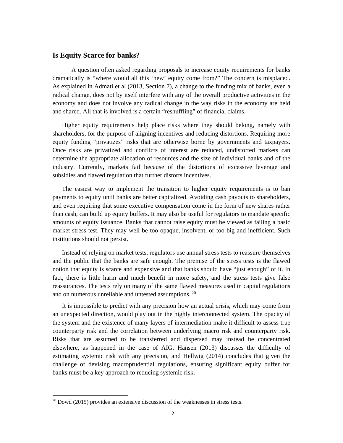#### **Is Equity Scarce for banks?**

A question often asked regarding proposals to increase equity requirements for banks dramatically is "where would all this 'new' equity come from?" The concern is misplaced. As explained in Admati et al (2013, Section 7), a change to the funding mix of banks, even a radical change, does not by itself interfere with any of the overall productive activities in the economy and does not involve any radical change in the way risks in the economy are held and shared. All that is involved is a certain "reshuffling" of financial claims.

Higher equity requirements help place risks where they should belong, namely with shareholders, for the purpose of aligning incentives and reducing distortions. Requiring more equity funding "privatizes" risks that are otherwise borne by governments and taxpayers. Once risks are privatized and conflicts of interest are reduced, undistorted markets can determine the appropriate allocation of resources and the size of individual banks and of the industry. Currently, markets fail because of the distortions of excessive leverage and subsidies and flawed regulation that further distorts incentives.

The easiest way to implement the transition to higher equity requirements is to ban payments to equity until banks are better capitalized. Avoiding cash payouts to shareholders, and even requiring that some executive compensation come in the form of new shares rather than cash, can build up equity buffers. It may also be useful for regulators to mandate specific amounts of equity issuance. Banks that cannot raise equity must be viewed as failing a basic market stress test. They may well be too opaque, insolvent, or too big and inefficient. Such institutions should not persist.

Instead of relying on market tests, regulators use annual stress tests to reassure themselves and the public that the banks are safe enough. The premise of the stress tests is the flawed notion that equity is scarce and expensive and that banks should have "just enough" of it. In fact, there is little harm and much benefit in more safety, and the stress tests give false reassurances. The tests rely on many of the same flawed measures used in capital regulations and on numerous unreliable and untested assumptions. 20

It is impossible to predict with any precision how an actual crisis, which may come from an unexpected direction, would play out in the highly interconnected system. The opacity of the system and the existence of many layers of intermediation make it difficult to assess true counterparty risk and the correlation between underlying macro risk and counterparty risk. Risks that are assumed to be transferred and dispersed may instead be concentrated elsewhere, as happened in the case of AIG. Hansen (2013) discusses the difficulty of estimating systemic risk with any precision, and Hellwig (2014) concludes that given the challenge of devising macroprudential regulations, ensuring significant equity buffer for banks must be a key approach to reducing systemic risk.

 $^{20}$  Dowd (2015) provides an extensive discussion of the weaknesses in stress tests.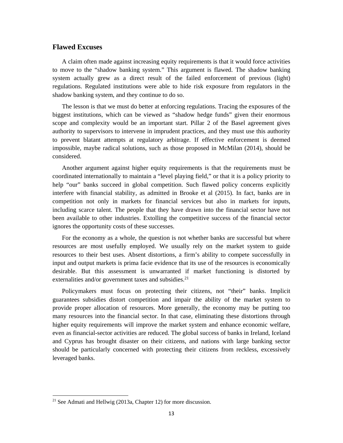## **Flawed Excuses**

A claim often made against increasing equity requirements is that it would force activities to move to the "shadow banking system." This argument is flawed. The shadow banking system actually grew as a direct result of the failed enforcement of previous (light) regulations. Regulated institutions were able to hide risk exposure from regulators in the shadow banking system, and they continue to do so.

The lesson is that we must do better at enforcing regulations. Tracing the exposures of the biggest institutions, which can be viewed as "shadow hedge funds" given their enormous scope and complexity would be an important start. Pillar 2 of the Basel agreement gives authority to supervisors to intervene in imprudent practices, and they must use this authority to prevent blatant attempts at regulatory arbitrage. If effective enforcement is deemed impossible, maybe radical solutions, such as those proposed in McMilan (2014), should be considered.

Another argument against higher equity requirements is that the requirements must be coordinated internationally to maintain a "level playing field," or that it is a policy priority to help "our" banks succeed in global competition. Such flawed policy concerns explicitly interfere with financial stability, as admitted in Brooke et al (2015). In fact, banks are in competition not only in markets for financial services but also in markets for inputs, including scarce talent. The people that they have drawn into the financial sector have not been available to other industries. Extolling the competitive success of the financial sector ignores the opportunity costs of these successes.

For the economy as a whole, the question is not whether banks are successful but where resources are most usefully employed. We usually rely on the market system to guide resources to their best uses. Absent distortions, a firm's ability to compete successfully in input and output markets is prima facie evidence that its use of the resources is economically desirable. But this assessment is unwarranted if market functioning is distorted by externalities and/or government taxes and subsidies.<sup>21</sup>

Policymakers must focus on protecting their citizens, not "their" banks. Implicit guarantees subsidies distort competition and impair the ability of the market system to provide proper allocation of resources. More generally, the economy may be putting too many resources into the financial sector. In that case, eliminating these distortions through higher equity requirements will improve the market system and enhance economic welfare, even as financial-sector activities are reduced. The global success of banks in Ireland, Iceland and Cyprus has brought disaster on their citizens, and nations with large banking sector should be particularly concerned with protecting their citizens from reckless, excessively leveraged banks.

 $21$  See Admati and Hellwig (2013a, Chapter 12) for more discussion.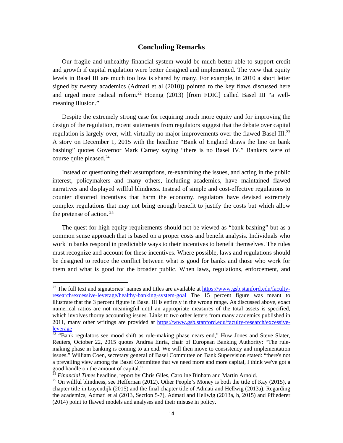## **Concluding Remarks**

Our fragile and unhealthy financial system would be much better able to support credit and growth if capital regulation were better designed and implemented. The view that equity levels in Basel III are much too low is shared by many. For example, in 2010 a short letter signed by twenty academics (Admati et al (2010)) pointed to the key flaws discussed here and urged more radical reform.<sup>22</sup> Hoenig (2013) [from FDIC] called Basel III "a wellmeaning illusion."

Despite the extremely strong case for requiring much more equity and for improving the design of the regulation, recent statements from regulators suggest that the debate over capital regulation is largely over, with virtually no major improvements over the flawed Basel III.<sup>23</sup> A story on December 1, 2015 with the headline "Bank of England draws the line on bank bashing" quotes Governor Mark Carney saying "there is no Basel IV." Bankers were of course quite pleased.24

Instead of questioning their assumptions, re-examining the issues, and acting in the public interest, policymakers and many others, including academics, have maintained flawed narratives and displayed willful blindness. Instead of simple and cost-effective regulations to counter distorted incentives that harm the economy, regulators have devised extremely complex regulations that may not bring enough benefit to justify the costs but which allow the pretense of action. 25

The quest for high equity requirements should not be viewed as "bank bashing" but as a common sense approach that is based on a proper costs and benefit analysis. Individuals who work in banks respond in predictable ways to their incentives to benefit themselves. The rules must recognize and account for these incentives. Where possible, laws and regulations should be designed to reduce the conflict between what is good for banks and those who work for them and what is good for the broader public. When laws, regulations, enforcement, and

<sup>&</sup>lt;sup>22</sup> The full text and signatories' names and titles are available at https://www.gsb.stanford.edu/facultyresearch/excessive-leverage/healthy-banking-system-goal The 15 percent figure was meant to illustrate that the 3 percent figure in Basel III is entirely in the wrong range. As discussed above, exact numerical ratios are not meaningful until an appropriate measures of the total assets is specified, which involves thorny accounting issues. Links to two other letters from many academics published in 2011, many other writings are provided at https://www.gsb.stanford.edu/faculty-research/excessiveleverage

<sup>&</sup>lt;sup>23</sup> "Bank regulators see mood shift as rule-making phase nears end," Huw Jones and Steve Slater, Reuters, October 22, 2015 quotes Andrea Enria, chair of European Banking Authority: "The rulemaking phase in banking is coming to an end. We will then move to consistency and implementation issues." William Coen, secretary general of Basel Committee on Bank Supervision stated: "there's not a prevailing view among the Basel Committee that we need more and more capital, I think we've got a good handle on the amount of capital."

<sup>&</sup>lt;sup>24</sup> Financial Times headline, report by Chris Giles, Caroline Binham and Martin Arnold.

 $25$  On willful blindness, see Heffernan (2012). Other People's Money is both the title of Kay (2015), a chapter title in Luyendijk (2015) and the final chapter title of Admati and Hellwig (2013a). Regarding the academics, Admati et al (2013, Section 5-7), Admati and Hellwig (2013a, b, 2015) and Pfliederer (2014) point to flawed models and analyses and their misuse in policy.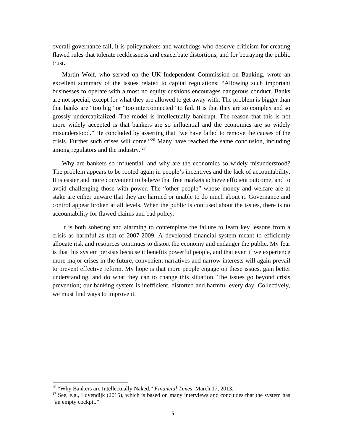overall governance fail, it is policymakers and watchdogs who deserve criticism for creating flawed rules that tolerate recklessness and exacerbate distortions, and for betraying the public trust.

Martin Wolf, who served on the UK Independent Commission on Banking, wrote an excellent summary of the issues related to capital regulations: "Allowing such important businesses to operate with almost no equity cushions encourages dangerous conduct. Banks are not special, except for what they are allowed to get away with. The problem is bigger than that banks are "too big" or "too interconnected" to fail. It is that they are so complex and so grossly undercapitalized. The model is intellectually bankrupt. The reason that this is not more widely accepted is that bankers are so influential and the economics are so widely misunderstood." He concluded by asserting that "we have failed to remove the causes of the crisis. Further such crises will come."26 Many have reached the same conclusion, including among regulators and the industry.<sup>27</sup>

Why are bankers so influential, and why are the economics so widely misunderstood? The problem appears to be rooted again in people's incentives and the lack of accountability. It is easier and more convenient to believe that free markets achieve efficient outcome, and to avoid challenging those with power. The "other people" whose money and welfare are at stake are either unware that they are harmed or unable to do much about it. Governance and control appear broken at all levels. When the public is confused about the issues, there is no accountability for flawed claims and bad policy.

It is both sobering and alarming to contemplate the failure to learn key lessons from a crisis as harmful as that of 2007-2009. A developed financial system meant to efficiently allocate risk and resources continues to distort the economy and endanger the public. My fear is that this system persists because it benefits powerful people, and that even if we experience more major crises in the future, convenient narratives and narrow interests will again prevail to prevent effective reform. My hope is that more people engage on these issues, gain better understanding, and do what they can to change this situation. The issues go beyond crisis prevention; our banking system is inefficient, distorted and harmful every day. Collectively, we must find ways to improve it.

<sup>26 &</sup>quot;Why Bankers are Intellectually Naked," *Financial Times*, March 17, 2013.

 $27$  See, e.g., Luyendijk (2015), which is based on many interviews and concludes that the system has "an empty cockpit."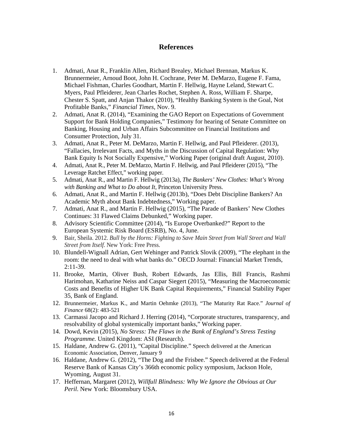## **References**

- 1. Admati, Anat R., Franklin Allen, Richard Brealey, Michael Brennan, Markus K. Brunnermeier, Arnoud Boot, John H. Cochrane, Peter M. DeMarzo, Eugene F. Fama, Michael Fishman, Charles Goodhart, Martin F. Hellwig, Hayne Leland, Stewart C. Myers, Paul Pfleiderer, Jean Charles Rochet, Stephen A. Ross, William F. Sharpe, Chester S. Spatt, and Anjan Thakor (2010), "Healthy Banking System is the Goal, Not Profitable Banks," *Financial Times*, Nov. 9.
- 2. Admati, Anat R. (2014), "Examining the GAO Report on Expectations of Government Support for Bank Holding Companies," Testimony for hearing of Senate Committee on Banking, Housing and Urban Affairs Subcommittee on Financial Institutions and Consumer Protection, July 31.
- 3. Admati, Anat R., Peter M. DeMarzo, Martin F. Hellwig, and Paul Pfleiderer. (2013), "Fallacies, Irrelevant Facts, and Myths in the Discussion of Capital Regulation: Why Bank Equity Is Not Socially Expensive," Working Paper (original draft August, 2010).
- 4. Admati, Anat R., Peter M. DeMarzo, Martin F. Hellwig, and Paul Pfleiderer (2015), "The Leverage Ratchet Effect," working paper.
- 5. Admati, Anat R., and Martin F. Hellwig (2013a), *The Bankers' New Clothes: What's Wrong with Banking and What to Do about It,* Princeton University Press.
- 6. Admati, Anat R., and Martin F. Hellwig (2013b), "Does Debt Discipline Bankers? An Academic Myth about Bank Indebtedness," Working paper.
- 7. Admati, Anat R., and Martin F. Hellwig (2015), "The Parade of Bankers' New Clothes Continues: 31 Flawed Claims Debunked," Working paper.
- 8. Advisory Scientific Committee (2014), "Is Europe Overbanked?" Report to the European Systemic Risk Board (ESRB), No. 4, June.
- 9. Bair, Sheila. 2012. *Bull by the Horns: Fighting to Save Main Street from Wall Street and Wall Street from Itself.* New York: Free Press.
- 10. Blundell-Wignall Adrian, Gert Wehinger and Patrick Slovik (2009), "The elephant in the room: the need to deal with what banks do." OECD Journal: Financial Market Trends, 2:11-39.
- 11. Brooke, Martin, Oliver Bush, Robert Edwards, Jas Ellis, Bill Francis, Rashmi Harimohan, Katharine Neiss and Caspar Siegert (2015), "Measuring the Macroeconomic Costs and Benefits of Higher UK Bank Capital Requirements," Financial Stability Paper 35, Bank of England.
- 12. Brunnermeier, Markus K., and Martin Oehmke (2013), "The Maturity Rat Race." *Journal of Finance* 68(2): 483-521
- 13. Carmassi Jacopo and Richard J. Herring (2014), "Corporate structures, transparency, and resolvability of global systemically important banks," Working paper.
- 14. Dowd, Kevin (2015), *No Stress: The Flaws in the Bank of England's Stress Testing Programme.* United Kingdom: ASI (Research).
- 15. Haldane, Andrew G. (2011), "Capital Discipline." Speech delivered at the American Economic Association, Denver, January 9
- 16. Haldane, Andrew G. (2012), "The Dog and the Frisbee." Speech delivered at the Federal Reserve Bank of Kansas City's 366th economic policy symposium, Jackson Hole, Wyoming, August 31.
- 17. Heffernan, Margaret (2012), *Willfull Blindness: Why We Ignore the Obvious at Our Peril*. New York: Bloomsbury USA.